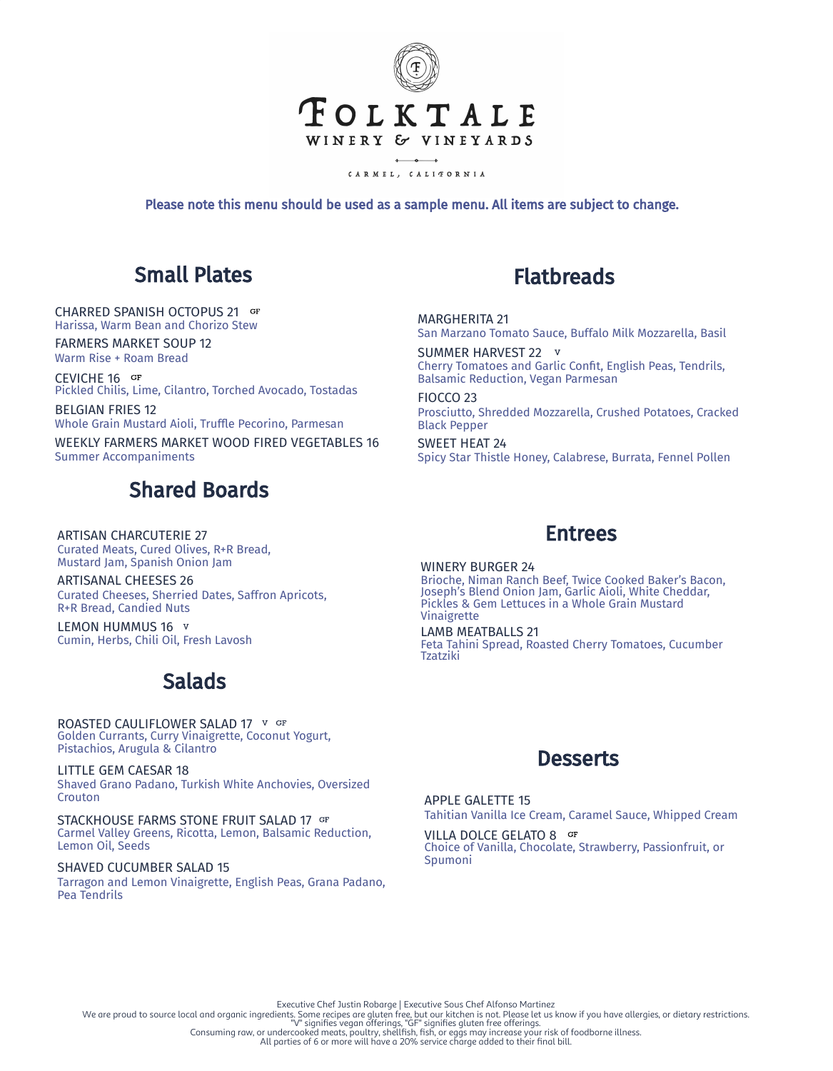

CARMEL, CALITORNIA

Please note this menu should be used as a sample menu. All items are subject to change.

## Small Plates

CHARRED SPANISH OCTOPUS 21 Harissa, Warm Bean and Chorizo Stew

FARMERS MARKET SOUP 12 Warm Rise + Roam Bread

CEVICHE 16 Pickled Chilis, Lime, Cilantro, Torched Avocado, Tostadas

BELGIAN FRIES 12 Whole Grain Mustard Aioli, Truffle Pecorino, Parmesan

WEEKLY FARMERS MARKET WOOD FIRED VEGETABLES 16 Summer Accompaniments

# Shared Boards

ARTISAN CHARCUTERIE 27 Curated Meats, Cured Olives, R+R Bread, Mustard Jam, Spanish Onion Jam

ARTISANAL CHEESES 26 Curated Cheeses, Sherried Dates, Saffron Apricots, R+R Bread, Candied Nuts

LEMON HUMMUS 16 V Cumin, Herbs, Chili Oil, Fresh Lavosh

## Salads

ROASTED CAULIFLOWER SALAD 17 V GF Golden Currants, Curry Vinaigrette, Coconut Yogurt, Pistachios, Arugula & Cilantro

LITTLE GEM CAESAR 18 Shaved Grano Padano, Turkish White Anchovies, Oversized Crouton

STACKHOUSE FARMS STONE FRUIT SALAD 17 GF Carmel Valley Greens, Ricotta, Lemon, Balsamic Reduction, Lemon Oil, Seeds

SHAVED CUCUMBER SALAD 15 Tarragon and Lemon Vinaigrette, English Peas, Grana Padano, Pea Tendrils

### Flatbreads

MARGHERITA 21 San Marzano Tomato Sauce, Buffalo Milk Mozzarella, Basil

SUMMER HARVEST 22 V Cherry Tomatoes and Garlic Confit, English Peas, Tendrils, Balsamic Reduction, Vegan Parmesan

FIOCCO 23 Prosciutto, Shredded Mozzarella, Crushed Potatoes, Cracked Black Pepper

SWEET HEAT 24 Spicy Star Thistle Honey, Calabrese, Burrata, Fennel Pollen

#### Entrees

WINERY BURGER 24 Brioche, Niman Ranch Beef, Twice Cooked Baker's Bacon, Joseph's Blend Onion Jam, Garlic Aioli, White Cheddar, Pickles & Gem Lettuces in a Whole Grain Mustard Vinaigrette

LAMB MEATBALLS 21 Feta Tahini Spread, Roasted Cherry Tomatoes, Cucumber Tzatziki



APPLE GALETTE 15 Tahitian Vanilla Ice Cream, Caramel Sauce, Whipped Cream

VILLA DOLCE GELATO 8 GF Choice of Vanilla, Chocolate, Strawberry, Passionfruit, or Spumoni

Executive Chef Justin Robarge | Executive Sous Chef Alfonso Martinez<br>We are proud to source local and organic ingredients. Some recipes are gluten free, but our kitchen is not. Please let us know if you have allergies, or

All parties of 6 or more will have a 20% service charge added to their final bill.